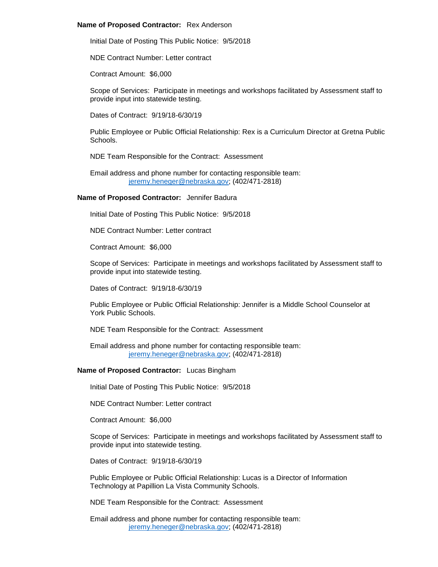#### **Name of Proposed Contractor:** Rex Anderson

Initial Date of Posting This Public Notice: 9/5/2018

NDE Contract Number: Letter contract

Contract Amount: \$6,000

Scope of Services: Participate in meetings and workshops facilitated by Assessment staff to provide input into statewide testing.

Dates of Contract: 9/19/18-6/30/19

Public Employee or Public Official Relationship: Rex is a Curriculum Director at Gretna Public Schools.

NDE Team Responsible for the Contract: Assessment

Email address and phone number for contacting responsible team: [jeremy.heneger@nebraska.gov;](mailto:jeremy.heneger@nebraska.gov) (402/471-2818)

#### **Name of Proposed Contractor:** Jennifer Badura

Initial Date of Posting This Public Notice: 9/5/2018

NDE Contract Number: Letter contract

Contract Amount: \$6,000

Scope of Services: Participate in meetings and workshops facilitated by Assessment staff to provide input into statewide testing.

Dates of Contract: 9/19/18-6/30/19

Public Employee or Public Official Relationship: Jennifer is a Middle School Counselor at York Public Schools.

NDE Team Responsible for the Contract: Assessment

Email address and phone number for contacting responsible team: [jeremy.heneger@nebraska.gov;](mailto:jeremy.heneger@nebraska.gov) (402/471-2818)

# **Name of Proposed Contractor:** Lucas Bingham

Initial Date of Posting This Public Notice: 9/5/2018

NDE Contract Number: Letter contract

Contract Amount: \$6,000

Scope of Services: Participate in meetings and workshops facilitated by Assessment staff to provide input into statewide testing.

Dates of Contract: 9/19/18-6/30/19

Public Employee or Public Official Relationship: Lucas is a Director of Information Technology at Papillion La Vista Community Schools.

NDE Team Responsible for the Contract: Assessment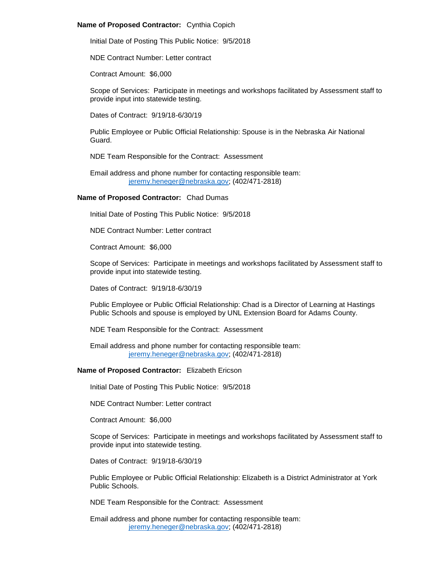# **Name of Proposed Contractor:** Cynthia Copich

Initial Date of Posting This Public Notice: 9/5/2018

NDE Contract Number: Letter contract

Contract Amount: \$6,000

Scope of Services: Participate in meetings and workshops facilitated by Assessment staff to provide input into statewide testing.

Dates of Contract: 9/19/18-6/30/19

Public Employee or Public Official Relationship: Spouse is in the Nebraska Air National Guard.

NDE Team Responsible for the Contract: Assessment

Email address and phone number for contacting responsible team: [jeremy.heneger@nebraska.gov;](mailto:jeremy.heneger@nebraska.gov) (402/471-2818)

# **Name of Proposed Contractor:** Chad Dumas

Initial Date of Posting This Public Notice: 9/5/2018

NDE Contract Number: Letter contract

Contract Amount: \$6,000

Scope of Services: Participate in meetings and workshops facilitated by Assessment staff to provide input into statewide testing.

Dates of Contract: 9/19/18-6/30/19

Public Employee or Public Official Relationship: Chad is a Director of Learning at Hastings Public Schools and spouse is employed by UNL Extension Board for Adams County.

NDE Team Responsible for the Contract: Assessment

Email address and phone number for contacting responsible team: [jeremy.heneger@nebraska.gov;](mailto:jeremy.heneger@nebraska.gov) (402/471-2818)

# **Name of Proposed Contractor:** Elizabeth Ericson

Initial Date of Posting This Public Notice: 9/5/2018

NDE Contract Number: Letter contract

Contract Amount: \$6,000

Scope of Services: Participate in meetings and workshops facilitated by Assessment staff to provide input into statewide testing.

Dates of Contract: 9/19/18-6/30/19

Public Employee or Public Official Relationship: Elizabeth is a District Administrator at York Public Schools.

NDE Team Responsible for the Contract: Assessment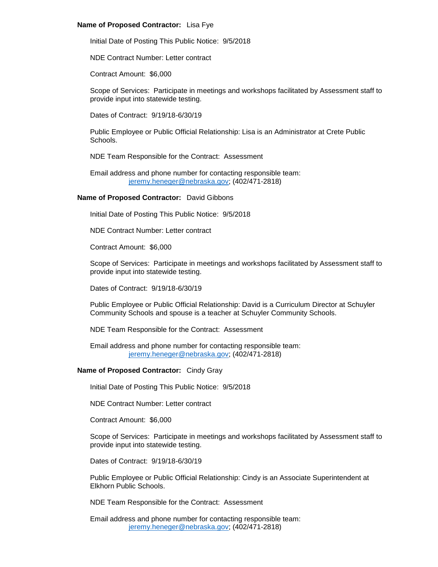# **Name of Proposed Contractor:** Lisa Fye

Initial Date of Posting This Public Notice: 9/5/2018

NDE Contract Number: Letter contract

Contract Amount: \$6,000

Scope of Services: Participate in meetings and workshops facilitated by Assessment staff to provide input into statewide testing.

Dates of Contract: 9/19/18-6/30/19

Public Employee or Public Official Relationship: Lisa is an Administrator at Crete Public Schools.

NDE Team Responsible for the Contract: Assessment

Email address and phone number for contacting responsible team: [jeremy.heneger@nebraska.gov;](mailto:jeremy.heneger@nebraska.gov) (402/471-2818)

# **Name of Proposed Contractor:** David Gibbons

Initial Date of Posting This Public Notice: 9/5/2018

NDE Contract Number: Letter contract

Contract Amount: \$6,000

Scope of Services: Participate in meetings and workshops facilitated by Assessment staff to provide input into statewide testing.

Dates of Contract: 9/19/18-6/30/19

Public Employee or Public Official Relationship: David is a Curriculum Director at Schuyler Community Schools and spouse is a teacher at Schuyler Community Schools.

NDE Team Responsible for the Contract: Assessment

Email address and phone number for contacting responsible team: [jeremy.heneger@nebraska.gov;](mailto:jeremy.heneger@nebraska.gov) (402/471-2818)

# **Name of Proposed Contractor:** Cindy Gray

Initial Date of Posting This Public Notice: 9/5/2018

NDE Contract Number: Letter contract

Contract Amount: \$6,000

Scope of Services: Participate in meetings and workshops facilitated by Assessment staff to provide input into statewide testing.

Dates of Contract: 9/19/18-6/30/19

Public Employee or Public Official Relationship: Cindy is an Associate Superintendent at Elkhorn Public Schools.

NDE Team Responsible for the Contract: Assessment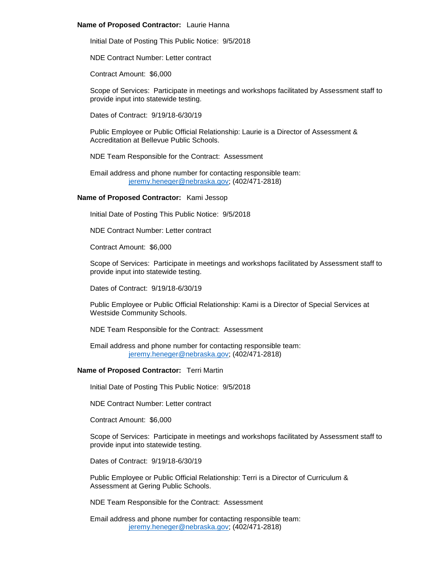### **Name of Proposed Contractor:** Laurie Hanna

Initial Date of Posting This Public Notice: 9/5/2018

NDE Contract Number: Letter contract

Contract Amount: \$6,000

Scope of Services: Participate in meetings and workshops facilitated by Assessment staff to provide input into statewide testing.

Dates of Contract: 9/19/18-6/30/19

Public Employee or Public Official Relationship: Laurie is a Director of Assessment & Accreditation at Bellevue Public Schools.

NDE Team Responsible for the Contract: Assessment

Email address and phone number for contacting responsible team: [jeremy.heneger@nebraska.gov;](mailto:jeremy.heneger@nebraska.gov) (402/471-2818)

# **Name of Proposed Contractor:** Kami Jessop

Initial Date of Posting This Public Notice: 9/5/2018

NDE Contract Number: Letter contract

Contract Amount: \$6,000

Scope of Services: Participate in meetings and workshops facilitated by Assessment staff to provide input into statewide testing.

Dates of Contract: 9/19/18-6/30/19

Public Employee or Public Official Relationship: Kami is a Director of Special Services at Westside Community Schools.

NDE Team Responsible for the Contract: Assessment

Email address and phone number for contacting responsible team: [jeremy.heneger@nebraska.gov;](mailto:jeremy.heneger@nebraska.gov) (402/471-2818)

# **Name of Proposed Contractor:** Terri Martin

Initial Date of Posting This Public Notice: 9/5/2018

NDE Contract Number: Letter contract

Contract Amount: \$6,000

Scope of Services: Participate in meetings and workshops facilitated by Assessment staff to provide input into statewide testing.

Dates of Contract: 9/19/18-6/30/19

Public Employee or Public Official Relationship: Terri is a Director of Curriculum & Assessment at Gering Public Schools.

NDE Team Responsible for the Contract: Assessment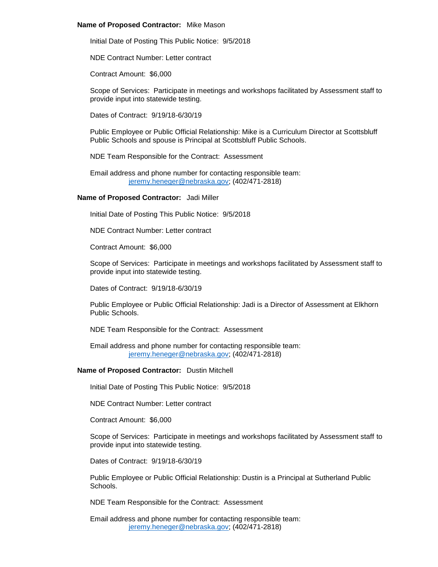#### **Name of Proposed Contractor:** Mike Mason

Initial Date of Posting This Public Notice: 9/5/2018

NDE Contract Number: Letter contract

Contract Amount: \$6,000

Scope of Services: Participate in meetings and workshops facilitated by Assessment staff to provide input into statewide testing.

Dates of Contract: 9/19/18-6/30/19

Public Employee or Public Official Relationship: Mike is a Curriculum Director at Scottsbluff Public Schools and spouse is Principal at Scottsbluff Public Schools.

NDE Team Responsible for the Contract: Assessment

Email address and phone number for contacting responsible team: [jeremy.heneger@nebraska.gov;](mailto:jeremy.heneger@nebraska.gov) (402/471-2818)

#### **Name of Proposed Contractor:** Jadi Miller

Initial Date of Posting This Public Notice: 9/5/2018

NDE Contract Number: Letter contract

Contract Amount: \$6,000

Scope of Services: Participate in meetings and workshops facilitated by Assessment staff to provide input into statewide testing.

Dates of Contract: 9/19/18-6/30/19

Public Employee or Public Official Relationship: Jadi is a Director of Assessment at Elkhorn Public Schools.

NDE Team Responsible for the Contract: Assessment

Email address and phone number for contacting responsible team: [jeremy.heneger@nebraska.gov;](mailto:jeremy.heneger@nebraska.gov) (402/471-2818)

#### **Name of Proposed Contractor:** Dustin Mitchell

Initial Date of Posting This Public Notice: 9/5/2018

NDE Contract Number: Letter contract

Contract Amount: \$6,000

Scope of Services: Participate in meetings and workshops facilitated by Assessment staff to provide input into statewide testing.

Dates of Contract: 9/19/18-6/30/19

Public Employee or Public Official Relationship: Dustin is a Principal at Sutherland Public Schools.

NDE Team Responsible for the Contract: Assessment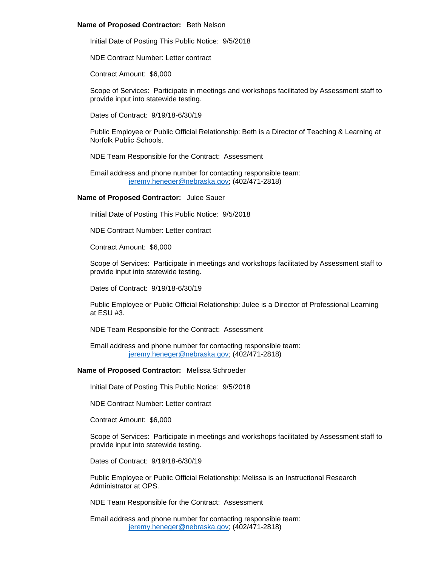#### **Name of Proposed Contractor:** Beth Nelson

Initial Date of Posting This Public Notice: 9/5/2018

NDE Contract Number: Letter contract

Contract Amount: \$6,000

Scope of Services: Participate in meetings and workshops facilitated by Assessment staff to provide input into statewide testing.

Dates of Contract: 9/19/18-6/30/19

Public Employee or Public Official Relationship: Beth is a Director of Teaching & Learning at Norfolk Public Schools.

NDE Team Responsible for the Contract: Assessment

Email address and phone number for contacting responsible team: [jeremy.heneger@nebraska.gov;](mailto:jeremy.heneger@nebraska.gov) (402/471-2818)

#### **Name of Proposed Contractor:** Julee Sauer

Initial Date of Posting This Public Notice: 9/5/2018

NDE Contract Number: Letter contract

Contract Amount: \$6,000

Scope of Services: Participate in meetings and workshops facilitated by Assessment staff to provide input into statewide testing.

Dates of Contract: 9/19/18-6/30/19

Public Employee or Public Official Relationship: Julee is a Director of Professional Learning at ESU #3.

NDE Team Responsible for the Contract: Assessment

Email address and phone number for contacting responsible team: [jeremy.heneger@nebraska.gov;](mailto:jeremy.heneger@nebraska.gov) (402/471-2818)

#### **Name of Proposed Contractor:** Melissa Schroeder

Initial Date of Posting This Public Notice: 9/5/2018

NDE Contract Number: Letter contract

Contract Amount: \$6,000

Scope of Services: Participate in meetings and workshops facilitated by Assessment staff to provide input into statewide testing.

Dates of Contract: 9/19/18-6/30/19

Public Employee or Public Official Relationship: Melissa is an Instructional Research Administrator at OPS.

NDE Team Responsible for the Contract: Assessment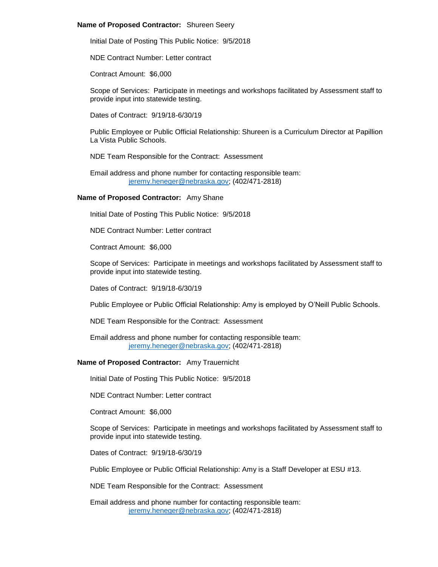# **Name of Proposed Contractor:** Shureen Seery

Initial Date of Posting This Public Notice: 9/5/2018

NDE Contract Number: Letter contract

Contract Amount: \$6,000

Scope of Services: Participate in meetings and workshops facilitated by Assessment staff to provide input into statewide testing.

Dates of Contract: 9/19/18-6/30/19

Public Employee or Public Official Relationship: Shureen is a Curriculum Director at Papillion La Vista Public Schools.

NDE Team Responsible for the Contract: Assessment

Email address and phone number for contacting responsible team: [jeremy.heneger@nebraska.gov;](mailto:jeremy.heneger@nebraska.gov) (402/471-2818)

# **Name of Proposed Contractor:** Amy Shane

Initial Date of Posting This Public Notice: 9/5/2018

NDE Contract Number: Letter contract

Contract Amount: \$6,000

Scope of Services: Participate in meetings and workshops facilitated by Assessment staff to provide input into statewide testing.

Dates of Contract: 9/19/18-6/30/19

Public Employee or Public Official Relationship: Amy is employed by O'Neill Public Schools.

NDE Team Responsible for the Contract: Assessment

Email address and phone number for contacting responsible team: [jeremy.heneger@nebraska.gov;](mailto:jeremy.heneger@nebraska.gov) (402/471-2818)

# **Name of Proposed Contractor:** Amy Trauernicht

Initial Date of Posting This Public Notice: 9/5/2018

NDE Contract Number: Letter contract

Contract Amount: \$6,000

Scope of Services: Participate in meetings and workshops facilitated by Assessment staff to provide input into statewide testing.

Dates of Contract: 9/19/18-6/30/19

Public Employee or Public Official Relationship: Amy is a Staff Developer at ESU #13.

NDE Team Responsible for the Contract: Assessment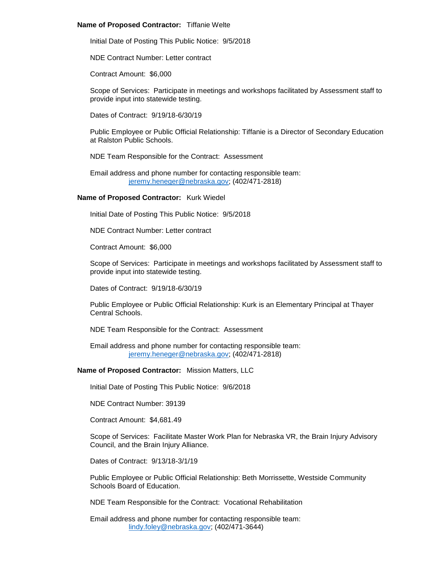### **Name of Proposed Contractor:** Tiffanie Welte

Initial Date of Posting This Public Notice: 9/5/2018

NDE Contract Number: Letter contract

Contract Amount: \$6,000

Scope of Services: Participate in meetings and workshops facilitated by Assessment staff to provide input into statewide testing.

Dates of Contract: 9/19/18-6/30/19

Public Employee or Public Official Relationship: Tiffanie is a Director of Secondary Education at Ralston Public Schools.

NDE Team Responsible for the Contract: Assessment

Email address and phone number for contacting responsible team: [jeremy.heneger@nebraska.gov;](mailto:jeremy.heneger@nebraska.gov) (402/471-2818)

# **Name of Proposed Contractor:** Kurk Wiedel

Initial Date of Posting This Public Notice: 9/5/2018

NDE Contract Number: Letter contract

Contract Amount: \$6,000

Scope of Services: Participate in meetings and workshops facilitated by Assessment staff to provide input into statewide testing.

Dates of Contract: 9/19/18-6/30/19

Public Employee or Public Official Relationship: Kurk is an Elementary Principal at Thayer Central Schools.

NDE Team Responsible for the Contract: Assessment

Email address and phone number for contacting responsible team: [jeremy.heneger@nebraska.gov;](mailto:jeremy.heneger@nebraska.gov) (402/471-2818)

# **Name of Proposed Contractor:** Mission Matters, LLC

Initial Date of Posting This Public Notice: 9/6/2018

NDE Contract Number: 39139

Contract Amount: \$4,681.49

Scope of Services: Facilitate Master Work Plan for Nebraska VR, the Brain Injury Advisory Council, and the Brain Injury Alliance.

Dates of Contract: 9/13/18-3/1/19

Public Employee or Public Official Relationship: Beth Morrissette, Westside Community Schools Board of Education.

NDE Team Responsible for the Contract: Vocational Rehabilitation

Email address and phone number for contacting responsible team: [lindy.foley@nebraska.gov;](mailto:lindy.foley@nebraska.gov) (402/471-3644)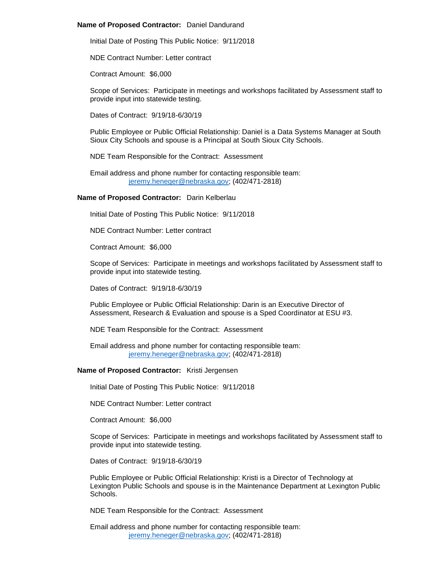# **Name of Proposed Contractor:** Daniel Dandurand

Initial Date of Posting This Public Notice: 9/11/2018

NDE Contract Number: Letter contract

Contract Amount: \$6,000

Scope of Services: Participate in meetings and workshops facilitated by Assessment staff to provide input into statewide testing.

Dates of Contract: 9/19/18-6/30/19

Public Employee or Public Official Relationship: Daniel is a Data Systems Manager at South Sioux City Schools and spouse is a Principal at South Sioux City Schools.

NDE Team Responsible for the Contract: Assessment

Email address and phone number for contacting responsible team: [jeremy.heneger@nebraska.gov;](mailto:jeremy.heneger@nebraska.gov) (402/471-2818)

# **Name of Proposed Contractor:** Darin Kelberlau

Initial Date of Posting This Public Notice: 9/11/2018

NDE Contract Number: Letter contract

Contract Amount: \$6,000

Scope of Services: Participate in meetings and workshops facilitated by Assessment staff to provide input into statewide testing.

Dates of Contract: 9/19/18-6/30/19

Public Employee or Public Official Relationship: Darin is an Executive Director of Assessment, Research & Evaluation and spouse is a Sped Coordinator at ESU #3.

NDE Team Responsible for the Contract: Assessment

Email address and phone number for contacting responsible team: [jeremy.heneger@nebraska.gov;](mailto:jeremy.heneger@nebraska.gov) (402/471-2818)

### **Name of Proposed Contractor:** Kristi Jergensen

Initial Date of Posting This Public Notice: 9/11/2018

NDE Contract Number: Letter contract

Contract Amount: \$6,000

Scope of Services: Participate in meetings and workshops facilitated by Assessment staff to provide input into statewide testing.

Dates of Contract: 9/19/18-6/30/19

Public Employee or Public Official Relationship: Kristi is a Director of Technology at Lexington Public Schools and spouse is in the Maintenance Department at Lexington Public Schools.

NDE Team Responsible for the Contract: Assessment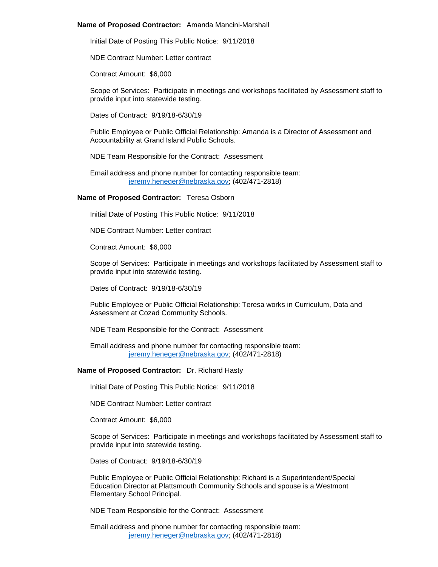### **Name of Proposed Contractor:** Amanda Mancini-Marshall

Initial Date of Posting This Public Notice: 9/11/2018

NDE Contract Number: Letter contract

Contract Amount: \$6,000

Scope of Services: Participate in meetings and workshops facilitated by Assessment staff to provide input into statewide testing.

Dates of Contract: 9/19/18-6/30/19

Public Employee or Public Official Relationship: Amanda is a Director of Assessment and Accountability at Grand Island Public Schools.

NDE Team Responsible for the Contract: Assessment

Email address and phone number for contacting responsible team: [jeremy.heneger@nebraska.gov;](mailto:jeremy.heneger@nebraska.gov) (402/471-2818)

#### **Name of Proposed Contractor:** Teresa Osborn

Initial Date of Posting This Public Notice: 9/11/2018

NDE Contract Number: Letter contract

Contract Amount: \$6,000

Scope of Services: Participate in meetings and workshops facilitated by Assessment staff to provide input into statewide testing.

Dates of Contract: 9/19/18-6/30/19

Public Employee or Public Official Relationship: Teresa works in Curriculum, Data and Assessment at Cozad Community Schools.

NDE Team Responsible for the Contract: Assessment

Email address and phone number for contacting responsible team: [jeremy.heneger@nebraska.gov;](mailto:jeremy.heneger@nebraska.gov) (402/471-2818)

#### **Name of Proposed Contractor:** Dr. Richard Hasty

Initial Date of Posting This Public Notice: 9/11/2018

NDE Contract Number: Letter contract

Contract Amount: \$6,000

Scope of Services: Participate in meetings and workshops facilitated by Assessment staff to provide input into statewide testing.

Dates of Contract: 9/19/18-6/30/19

Public Employee or Public Official Relationship: Richard is a Superintendent/Special Education Director at Plattsmouth Community Schools and spouse is a Westmont Elementary School Principal.

NDE Team Responsible for the Contract: Assessment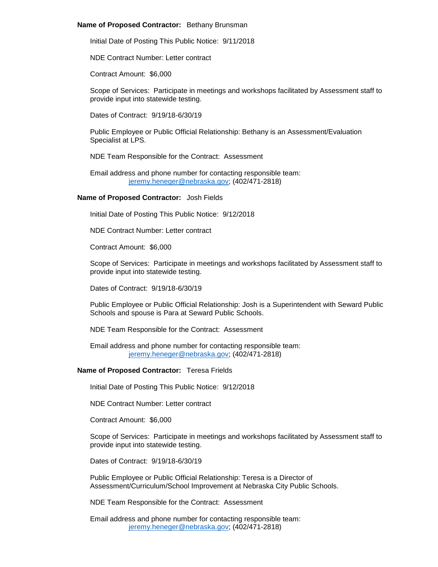#### **Name of Proposed Contractor:** Bethany Brunsman

Initial Date of Posting This Public Notice: 9/11/2018

NDE Contract Number: Letter contract

Contract Amount: \$6,000

Scope of Services: Participate in meetings and workshops facilitated by Assessment staff to provide input into statewide testing.

Dates of Contract: 9/19/18-6/30/19

Public Employee or Public Official Relationship: Bethany is an Assessment/Evaluation Specialist at LPS.

NDE Team Responsible for the Contract: Assessment

Email address and phone number for contacting responsible team: [jeremy.heneger@nebraska.gov;](mailto:jeremy.heneger@nebraska.gov) (402/471-2818)

#### **Name of Proposed Contractor:** Josh Fields

Initial Date of Posting This Public Notice: 9/12/2018

NDE Contract Number: Letter contract

Contract Amount: \$6,000

Scope of Services: Participate in meetings and workshops facilitated by Assessment staff to provide input into statewide testing.

Dates of Contract: 9/19/18-6/30/19

Public Employee or Public Official Relationship: Josh is a Superintendent with Seward Public Schools and spouse is Para at Seward Public Schools.

NDE Team Responsible for the Contract: Assessment

Email address and phone number for contacting responsible team: [jeremy.heneger@nebraska.gov;](mailto:jeremy.heneger@nebraska.gov) (402/471-2818)

#### **Name of Proposed Contractor:** Teresa Frields

Initial Date of Posting This Public Notice: 9/12/2018

NDE Contract Number: Letter contract

Contract Amount: \$6,000

Scope of Services: Participate in meetings and workshops facilitated by Assessment staff to provide input into statewide testing.

Dates of Contract: 9/19/18-6/30/19

Public Employee or Public Official Relationship: Teresa is a Director of Assessment/Curriculum/School Improvement at Nebraska City Public Schools.

NDE Team Responsible for the Contract: Assessment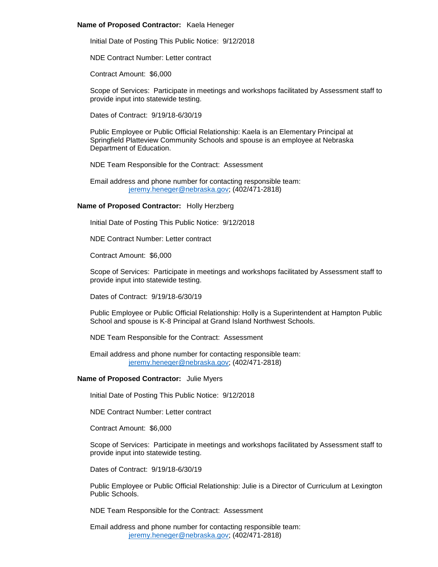## **Name of Proposed Contractor:** Kaela Heneger

Initial Date of Posting This Public Notice: 9/12/2018

NDE Contract Number: Letter contract

Contract Amount: \$6,000

Scope of Services: Participate in meetings and workshops facilitated by Assessment staff to provide input into statewide testing.

Dates of Contract: 9/19/18-6/30/19

Public Employee or Public Official Relationship: Kaela is an Elementary Principal at Springfield Platteview Community Schools and spouse is an employee at Nebraska Department of Education.

NDE Team Responsible for the Contract: Assessment

Email address and phone number for contacting responsible team: [jeremy.heneger@nebraska.gov;](mailto:jeremy.heneger@nebraska.gov) (402/471-2818)

# **Name of Proposed Contractor:** Holly Herzberg

Initial Date of Posting This Public Notice: 9/12/2018

NDE Contract Number: Letter contract

Contract Amount: \$6,000

Scope of Services: Participate in meetings and workshops facilitated by Assessment staff to provide input into statewide testing.

Dates of Contract: 9/19/18-6/30/19

Public Employee or Public Official Relationship: Holly is a Superintendent at Hampton Public School and spouse is K-8 Principal at Grand Island Northwest Schools.

NDE Team Responsible for the Contract: Assessment

Email address and phone number for contacting responsible team: [jeremy.heneger@nebraska.gov;](mailto:jeremy.heneger@nebraska.gov) (402/471-2818)

## **Name of Proposed Contractor:** Julie Myers

Initial Date of Posting This Public Notice: 9/12/2018

NDE Contract Number: Letter contract

Contract Amount: \$6,000

Scope of Services: Participate in meetings and workshops facilitated by Assessment staff to provide input into statewide testing.

Dates of Contract: 9/19/18-6/30/19

Public Employee or Public Official Relationship: Julie is a Director of Curriculum at Lexington Public Schools.

NDE Team Responsible for the Contract: Assessment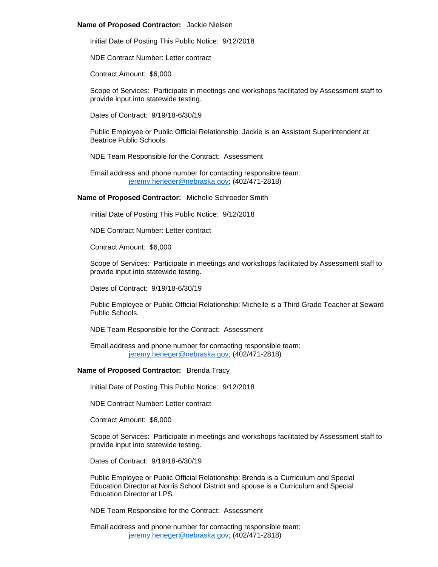#### **Name of Proposed Contractor:** Jackie Nielsen

Initial Date of Posting This Public Notice: 9/12/2018

NDE Contract Number: Letter contract

Contract Amount: \$6,000

Scope of Services: Participate in meetings and workshops facilitated by Assessment staff to provide input into statewide testing.

Dates of Contract: 9/19/18-6/30/19

Public Employee or Public Official Relationship: Jackie is an Assistant Superintendent at Beatrice Public Schools.

NDE Team Responsible for the Contract: Assessment

Email address and phone number for contacting responsible team: [jeremy.heneger@nebraska.gov;](mailto:jeremy.heneger@nebraska.gov) (402/471-2818)

**Name of Proposed Contractor:** Michelle Schroeder Smith

Initial Date of Posting This Public Notice: 9/12/2018

NDE Contract Number: Letter contract

Contract Amount: \$6,000

Scope of Services: Participate in meetings and workshops facilitated by Assessment staff to provide input into statewide testing.

Dates of Contract: 9/19/18-6/30/19

Public Employee or Public Official Relationship: Michelle is a Third Grade Teacher at Seward Public Schools.

NDE Team Responsible for the Contract: Assessment

Email address and phone number for contacting responsible team: [jeremy.heneger@nebraska.gov;](mailto:jeremy.heneger@nebraska.gov) (402/471-2818)

# **Name of Proposed Contractor:** Brenda Tracy

Initial Date of Posting This Public Notice: 9/12/2018

NDE Contract Number: Letter contract

Contract Amount: \$6,000

Scope of Services: Participate in meetings and workshops facilitated by Assessment staff to provide input into statewide testing.

Dates of Contract: 9/19/18-6/30/19

Public Employee or Public Official Relationship: Brenda is a Curriculum and Special Education Director at Norris School District and spouse is a Curriculum and Special Education Director at LPS.

NDE Team Responsible for the Contract: Assessment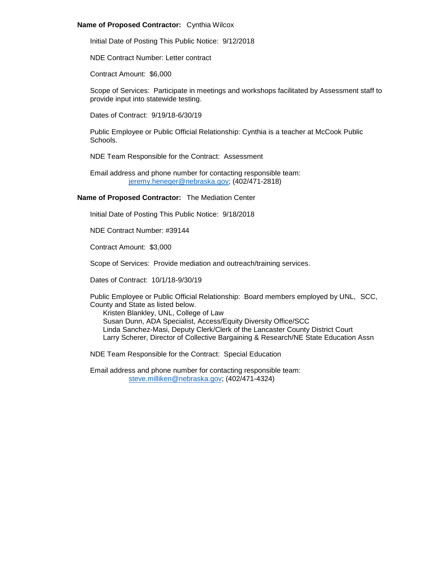# **Name of Proposed Contractor:** Cynthia Wilcox

Initial Date of Posting This Public Notice: 9/12/2018

NDE Contract Number: Letter contract

Contract Amount: \$6,000

Scope of Services: Participate in meetings and workshops facilitated by Assessment staff to provide input into statewide testing.

Dates of Contract: 9/19/18-6/30/19

Public Employee or Public Official Relationship: Cynthia is a teacher at McCook Public Schools.

NDE Team Responsible for the Contract: Assessment

Email address and phone number for contacting responsible team: [jeremy.heneger@nebraska.gov;](mailto:jeremy.heneger@nebraska.gov) (402/471-2818)

**Name of Proposed Contractor:** The Mediation Center

Initial Date of Posting This Public Notice: 9/18/2018

NDE Contract Number: #39144

Contract Amount: \$3,000

Scope of Services: Provide mediation and outreach/training services.

Dates of Contract: 10/1/18-9/30/19

Public Employee or Public Official Relationship: Board members employed by UNL, SCC, County and State as listed below.

Kristen Blankley, UNL, College of Law Susan Dunn, ADA Specialist, Access/Equity Diversity Office/SCC Linda Sanchez-Masi, Deputy Clerk/Clerk of the Lancaster County District Court Larry Scherer, Director of Collective Bargaining & Research/NE State Education Assn

NDE Team Responsible for the Contract: Special Education

Email address and phone number for contacting responsible team: [steve.milliken@nebraska.gov;](mailto:steve.milliken@nebraska.gov) (402/471-4324)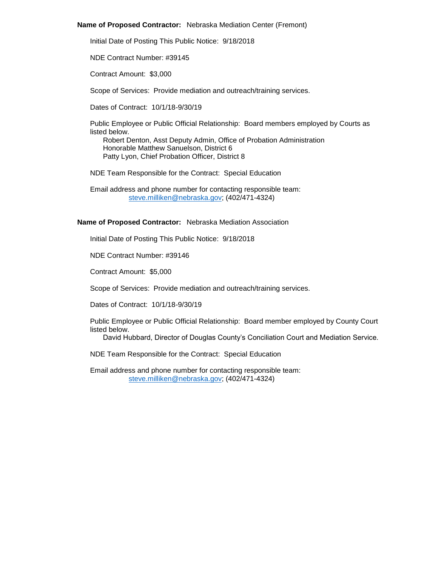## **Name of Proposed Contractor:** Nebraska Mediation Center (Fremont)

Initial Date of Posting This Public Notice: 9/18/2018

NDE Contract Number: #39145

Contract Amount: \$3,000

Scope of Services: Provide mediation and outreach/training services.

Dates of Contract: 10/1/18-9/30/19

Public Employee or Public Official Relationship: Board members employed by Courts as listed below.

Robert Denton, Asst Deputy Admin, Office of Probation Administration Honorable Matthew Sanuelson, District 6 Patty Lyon, Chief Probation Officer, District 8

NDE Team Responsible for the Contract: Special Education

Email address and phone number for contacting responsible team: [steve.milliken@nebraska.gov;](mailto:steve.milliken@nebraska.gov) (402/471-4324)

# **Name of Proposed Contractor:** Nebraska Mediation Association

Initial Date of Posting This Public Notice: 9/18/2018

NDE Contract Number: #39146

Contract Amount: \$5,000

Scope of Services: Provide mediation and outreach/training services.

Dates of Contract: 10/1/18-9/30/19

Public Employee or Public Official Relationship: Board member employed by County Court listed below.

David Hubbard, Director of Douglas County's Conciliation Court and Mediation Service.

NDE Team Responsible for the Contract: Special Education

Email address and phone number for contacting responsible team: [steve.milliken@nebraska.gov;](mailto:steve.milliken@nebraska.gov) (402/471-4324)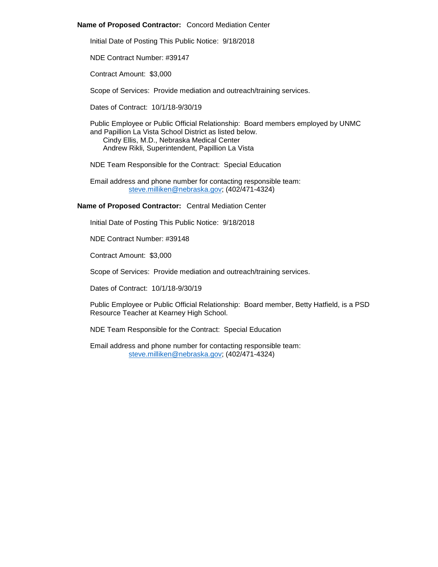# **Name of Proposed Contractor:** Concord Mediation Center

Initial Date of Posting This Public Notice: 9/18/2018

NDE Contract Number: #39147

Contract Amount: \$3,000

Scope of Services: Provide mediation and outreach/training services.

Dates of Contract: 10/1/18-9/30/19

Public Employee or Public Official Relationship: Board members employed by UNMC and Papillion La Vista School District as listed below. Cindy Ellis, M.D., Nebraska Medical Center

Andrew Rikli, Superintendent, Papillion La Vista

NDE Team Responsible for the Contract: Special Education

Email address and phone number for contacting responsible team: [steve.milliken@nebraska.gov;](mailto:steve.milliken@nebraska.gov) (402/471-4324)

# **Name of Proposed Contractor:** Central Mediation Center

Initial Date of Posting This Public Notice: 9/18/2018

NDE Contract Number: #39148

Contract Amount: \$3,000

Scope of Services: Provide mediation and outreach/training services.

Dates of Contract: 10/1/18-9/30/19

Public Employee or Public Official Relationship: Board member, Betty Hatfield, is a PSD Resource Teacher at Kearney High School.

NDE Team Responsible for the Contract: Special Education

Email address and phone number for contacting responsible team: [steve.milliken@nebraska.gov;](mailto:steve.milliken@nebraska.gov) (402/471-4324)